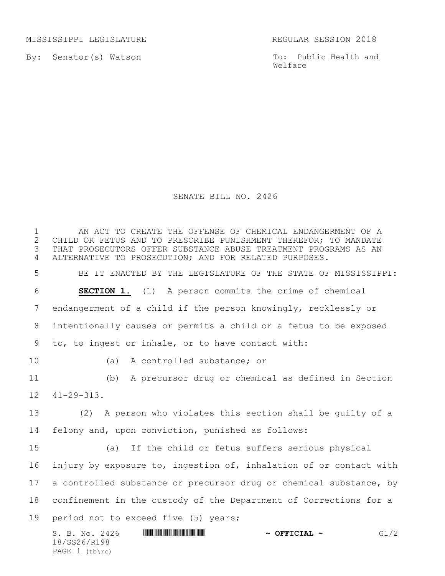MISSISSIPPI LEGISLATURE **REGULAR SESSION 2018** 

By: Senator(s) Watson

PAGE  $1$  (tb\rc)

To: Public Health and Welfare

## SENATE BILL NO. 2426

S. B. No. 2426 \*SS26/R198\* **~ OFFICIAL ~** G1/2 18/SS26/R198 1 THE AN ACT TO CREATE THE OFFENSE OF CHEMICAL ENDANGERMENT OF A<br>2 CHILD OR FETUS AND TO PRESCRIBE PUNISHMENT THEREFOR: TO MANDATE 2 CHILD OR FETUS AND TO PRESCRIBE PUNISHMENT THEREFOR; TO MANDATE<br>3 THAT PROSECUTORS OFFER SUBSTANCE ABUSE TREATMENT PROGRAMS AS AN THAT PROSECUTORS OFFER SUBSTANCE ABUSE TREATMENT PROGRAMS AS AN ALTERNATIVE TO PROSECUTION; AND FOR RELATED PURPOSES. BE IT ENACTED BY THE LEGISLATURE OF THE STATE OF MISSISSIPPI: **SECTION 1.** (1) A person commits the crime of chemical endangerment of a child if the person knowingly, recklessly or intentionally causes or permits a child or a fetus to be exposed to, to ingest or inhale, or to have contact with: (a) A controlled substance; or (b) A precursor drug or chemical as defined in Section 41-29-313. (2) A person who violates this section shall be guilty of a felony and, upon conviction, punished as follows: (a) If the child or fetus suffers serious physical injury by exposure to, ingestion of, inhalation of or contact with 17 a controlled substance or precursor drug or chemical substance, by confinement in the custody of the Department of Corrections for a period not to exceed five (5) years;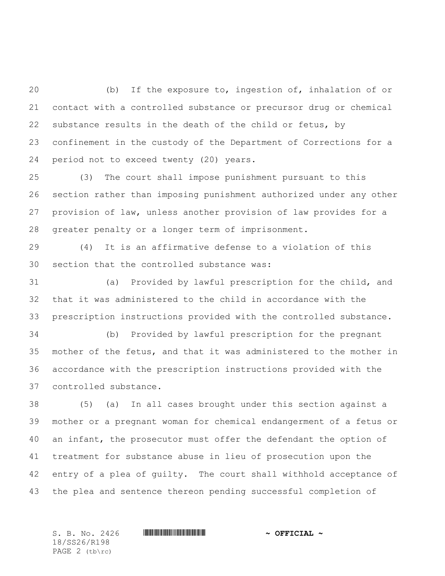(b) If the exposure to, ingestion of, inhalation of or contact with a controlled substance or precursor drug or chemical substance results in the death of the child or fetus, by confinement in the custody of the Department of Corrections for a period not to exceed twenty (20) years.

 (3) The court shall impose punishment pursuant to this section rather than imposing punishment authorized under any other provision of law, unless another provision of law provides for a greater penalty or a longer term of imprisonment.

 (4) It is an affirmative defense to a violation of this section that the controlled substance was:

 (a) Provided by lawful prescription for the child, and that it was administered to the child in accordance with the prescription instructions provided with the controlled substance.

 (b) Provided by lawful prescription for the pregnant mother of the fetus, and that it was administered to the mother in accordance with the prescription instructions provided with the controlled substance.

 (5) (a) In all cases brought under this section against a mother or a pregnant woman for chemical endangerment of a fetus or an infant, the prosecutor must offer the defendant the option of treatment for substance abuse in lieu of prosecution upon the entry of a plea of guilty. The court shall withhold acceptance of the plea and sentence thereon pending successful completion of

18/SS26/R198 PAGE 2 (tb\rc)

S. B. No. 2426 \*SS26/R198\* **~ OFFICIAL ~**